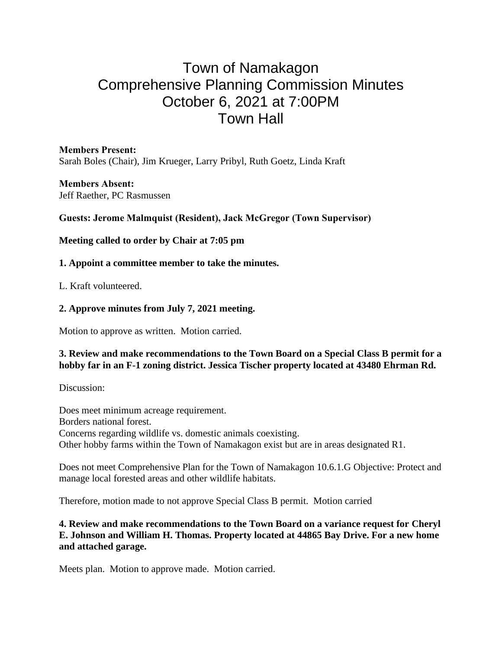# Town of Namakagon Comprehensive Planning Commission Minutes October 6, 2021 at 7:00PM Town Hall

**Members Present:** Sarah Boles (Chair), Jim Krueger, Larry Pribyl, Ruth Goetz, Linda Kraft

**Members Absent:** Jeff Raether, PC Rasmussen

**Guests: Jerome Malmquist (Resident), Jack McGregor (Town Supervisor)**

**Meeting called to order by Chair at 7:05 pm**

## **1. Appoint a committee member to take the minutes.**

L. Kraft volunteered.

## **2. Approve minutes from July 7, 2021 meeting.**

Motion to approve as written. Motion carried.

#### **3. Review and make recommendations to the Town Board on a Special Class B permit for a hobby far in an F-1 zoning district. Jessica Tischer property located at 43480 Ehrman Rd.**

Discussion:

Does meet minimum acreage requirement. Borders national forest. Concerns regarding wildlife vs. domestic animals coexisting. Other hobby farms within the Town of Namakagon exist but are in areas designated R1.

Does not meet Comprehensive Plan for the Town of Namakagon 10.6.1.G Objective: Protect and manage local forested areas and other wildlife habitats.

Therefore, motion made to not approve Special Class B permit. Motion carried

#### **4. Review and make recommendations to the Town Board on a variance request for Cheryl E. Johnson and William H. Thomas. Property located at 44865 Bay Drive. For a new home and attached garage.**

Meets plan. Motion to approve made. Motion carried.